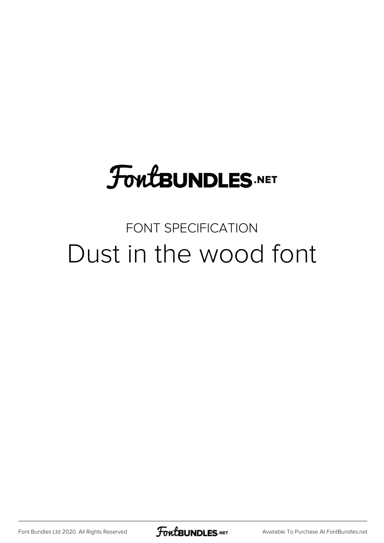## FoutBUNDLES.NET

## FONT SPECIFICATION Dust in the wood font

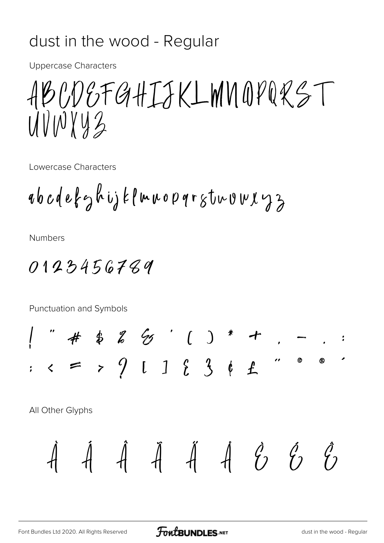## dust in the wood - Regular

**Uppercase Characters** 

ABCDEFGHIJKLMNOPQRST UVINYYZ

Lowercase Characters

abcdefghijklmnopqrstnumxyz

**Numbers** 

0123456789

Punctuation and Symbols

" # \$ %  $% '$  ( ) \* +<br>
< = > 9 [ ] { 3 | 1  $\bullet$  $^{\circ}$ 

All Other Glyphs

$$
\dot{A} \quad \dot{A} \quad \dot{A} \quad \dot{A} \quad \dot{A} \quad \dot{A} \quad \dot{C} \quad \dot{C}
$$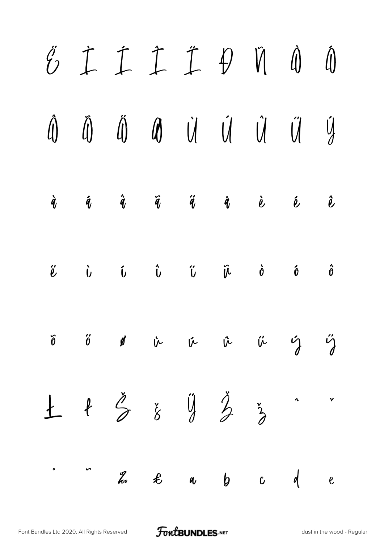|  | $\begin{array}{cccccccccccccc} \acute{c} & \dot{\mathbb{I}} & \dot{\mathbb{I}} & \dot{\mathbb{I}} & \dot{\mathbb{I}} & \dot{\mathbb{I}} & \dot{\mathbb{I}} & \dot{\mathbb{I}} & \dot{\mathbb{I}} & \dot{\mathbb{I}} & \dot{\mathbb{I}} & \dot{\mathbb{I}} & \dot{\mathbb{I}} & \dot{\mathbb{I}} & \dot{\mathbb{I}} & \dot{\mathbb{I}} & \dot{\mathbb{I}} & \dot{\mathbb{I}} & \dot{\mathbb{I}} & \dot{\mathbb{I}} & \dot{\mathbb{I}} & \dot{\mathbb{I}} & \dot{\mathbb{I}} & \dot{\mathbb{$ |  |  |  |
|--|---------------------------------------------------------------------------------------------------------------------------------------------------------------------------------------------------------------------------------------------------------------------------------------------------------------------------------------------------------------------------------------------------------------------------------------------------------------------------------------------|--|--|--|
|  | $\begin{array}{ccccccccccccc} \hat{A} & \hat{B} & \hat{C} & \hat{C} & \hat{C} & \hat{C} & \hat{C} & \hat{C} & \hat{C} & \hat{C} & \hat{C} & \hat{C} & \hat{C} & \hat{C} & \hat{C} & \hat{C} & \hat{C} & \hat{C} & \hat{C} & \hat{C} & \hat{C} & \hat{C} & \hat{C} & \hat{C} & \hat{C} & \hat{C} & \hat{C} & \hat{C} & \hat{C} & \hat{C} & \hat{C} & \hat{C} & \hat{C} & \hat{C} & \hat{C} &$                                                                                                |  |  |  |
|  | $\dot{q}$ $\dot{q}$ $\ddot{q}$ $\ddot{q}$ $\ddot{q}$ $\dot{q}$ $\dot{e}$ $\dot{e}$ $\ddot{e}$                                                                                                                                                                                                                                                                                                                                                                                               |  |  |  |
|  | $\begin{array}{ccc} \tilde{e} & \tilde{f} & \tilde{f} & \tilde{f} & \tilde{f} & \tilde{f} & \tilde{f} & \tilde{f} & \tilde{f} & \tilde{f} & \tilde{f} & \tilde{f} & \tilde{f} & \tilde{f} & \tilde{f} & \tilde{f} & \tilde{f} & \tilde{f} & \tilde{f} & \tilde{f} & \tilde{f} & \tilde{f} & \tilde{f} & \tilde{f} & \tilde{f} & \tilde{f} & \tilde{f} & \tilde{f} & \tilde{f} & \tilde{f} & \tilde$                                                                                         |  |  |  |
|  | $\tilde{v}$ $\tilde{v}$ $\tilde{v}$ $\tilde{v}$ $\tilde{v}$ $\tilde{v}$ $\tilde{v}$ $\tilde{v}$                                                                                                                                                                                                                                                                                                                                                                                             |  |  |  |
|  | $\pm$ $\frac{1}{2}$ $\frac{1}{8}$ $\frac{1}{8}$ $\frac{1}{2}$ $\frac{1}{3}$ $\cdot$                                                                                                                                                                                                                                                                                                                                                                                                         |  |  |  |
|  | $\therefore$ $\therefore$ $\frac{a}{b}$ $\theta$ $\theta$ $\theta$ $\theta$                                                                                                                                                                                                                                                                                                                                                                                                                 |  |  |  |